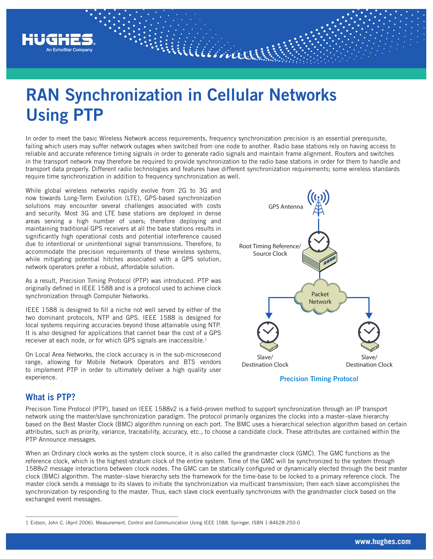

# **RAN Synchronization in Cellular Networks Using PTP**

In order to meet the basic Wireless Network access requirements, frequency synchronization precision is an essential prerequisite, failing which users may suffer network outages when switched from one node to another. Radio base stations rely on having access to reliable and accurate reference timing signals in order to generate radio signals and maintain frame alignment. Routers and switches in the transport network may therefore be required to provide synchronization to the radio base stations in order for them to handle and transport data properly. Different radio technologies and features have different synchronization requirements; some wireless standards require time synchronization in addition to frequency synchronization as well.

William

While global wireless networks rapidly evolve from 2G to 3G and now towards Long-Term Evolution (LTE), GPS-based synchronization solutions may encounter several challenges associated with costs and security. Most 3G and LTE base stations are deployed in dense areas serving a high number of users; therefore deploying and maintaining traditional GPS receivers at all the base stations results in significantly high operational costs and potential interference caused due to intentional or unintentional signal transmissions. Therefore, to accommodate the precision requirements of these wireless systems, while mitigating potential hitches associated with a GPS solution, network operators prefer a robust, affordable solution.

As a result, Precision Timing Protocol (PTP) was introduced. PTP was originally defined in IEEE 1588 and is a protocol used to achieve clock synchronization through Computer Networks.

IEEE 1588 is designed to fill a niche not well served by either of the two dominant protocols, NTP and GPS. IEEE 1588 is designed for local systems requiring accuracies beyond those attainable using NTP. It is also designed for applications that cannot bear the cost of a GPS receiver at each node, or for which GPS signals are inaccessible.<sup>1</sup>

On Local Area Networks, the clock accuracy is in the sub-microsecond range, allowing for Mobile Network Operators and BTS vendors to implement PTP in order to ultimately deliver a high quality user experience.



**Precision Timing Protocol**

#### **What is PTP?**

Precision Time Protocol (PTP), based on IEEE 1588v2 is a field-proven method to support synchronization through an IP transport network using the master/slave synchronization paradigm. The protocol primarily organizes the clocks into a master–slave hierarchy based on the Best Master Clock (BMC) algorithm running on each port. The BMC uses a hierarchical selection algorithm based on certain attributes, such as priority, variance, traceability, accuracy, etc., to choose a candidate clock. These attributes are contained within the PTP Announce messages.

When an Ordinary clock works as the system clock source, it is also called the grandmaster clock (GMC). The GMC functions as the reference clock, which is the highest-stratum clock of the entire system. Time of the GMC will be synchronized to the system through 1588v2 message interactions between clock nodes. The GMC can be statically configured or dynamically elected through the best master clock (BMC) algorithm. The master–slave hierarchy sets the framework for the time-base to be locked to a primary reference clock. The master clock sends a message to its slaves to initiate the synchronization via multicast transmission; then each slave accomplishes the synchronization by responding to the master. Thus, each slave clock eventually synchronizes with the grandmaster clock based on the exchanged event messages.

<sup>1</sup> Eidson, John C. (April 2006). Measurement, Control and Communication Using IEEE 1588. Springer. ISBN 1-84628-250-0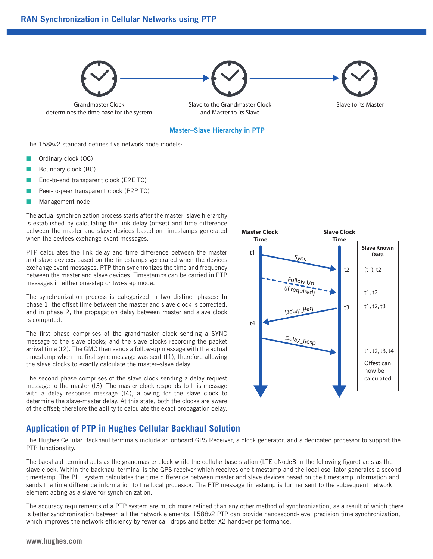#### **RAN Synchronization in Cellular Networks using PTP**



#### **Master–Slave Hierarchy in PTP**

The 1588v2 standard defines five network node models:

- Ordinary clock (OC)
- Boundary clock (BC)
- End-to-end transparent clock (E2E TC)
- Peer-to-peer transparent clock (P2P TC)
- Management node

The actual synchronization process starts after the master–slave hierarchy is established by calculating the link delay (offset) and time difference between the master and slave devices based on timestamps generated when the devices exchange event messages.

PTP calculates the link delay and time difference between the master and slave devices based on the timestamps generated when the devices exchange event messages. PTP then synchronizes the time and frequency between the master and slave devices. Timestamps can be carried in PTP messages in either one-step or two-step mode.

The synchronization process is categorized in two distinct phases: In phase 1, the offset time between the master and slave clock is corrected, and in phase 2, the propagation delay between master and slave clock is computed.

The first phase comprises of the grandmaster clock sending a SYNC message to the slave clocks; and the slave clocks recording the packet arrival time (t2). The GMC then sends a follow-up message with the actual timestamp when the first sync message was sent (t1), therefore allowing the slave clocks to exactly calculate the master–slave delay.

The second phase comprises of the slave clock sending a delay request message to the master (t3). The master clock responds to this message with a delay response message (t4), allowing for the slave clock to determine the slave-master delay. At this state, both the clocks are aware of the offset; therefore the ability to calculate the exact propagation delay.



#### **Application of PTP in Hughes Cellular Backhaul Solution**

The Hughes Cellular Backhaul terminals include an onboard GPS Receiver, a clock generator, and a dedicated processor to support the PTP functionality.

The backhaul terminal acts as the grandmaster clock while the cellular base station (LTE eNodeB in the following figure) acts as the slave clock. Within the backhaul terminal is the GPS receiver which receives one timestamp and the local oscillator generates a second timestamp. The PLL system calculates the time difference between master and slave devices based on the timestamp information and sends the time difference information to the local processor. The PTP message timestamp is further sent to the subsequent network element acting as a slave for synchronization.

The accuracy requirements of a PTP system are much more refined than any other method of synchronization, as a result of which there is better synchronization between all the network elements. 1588v2 PTP can provide nanosecond-level precision time synchronization, which improves the network efficiency by fewer call drops and better X2 handover performance.